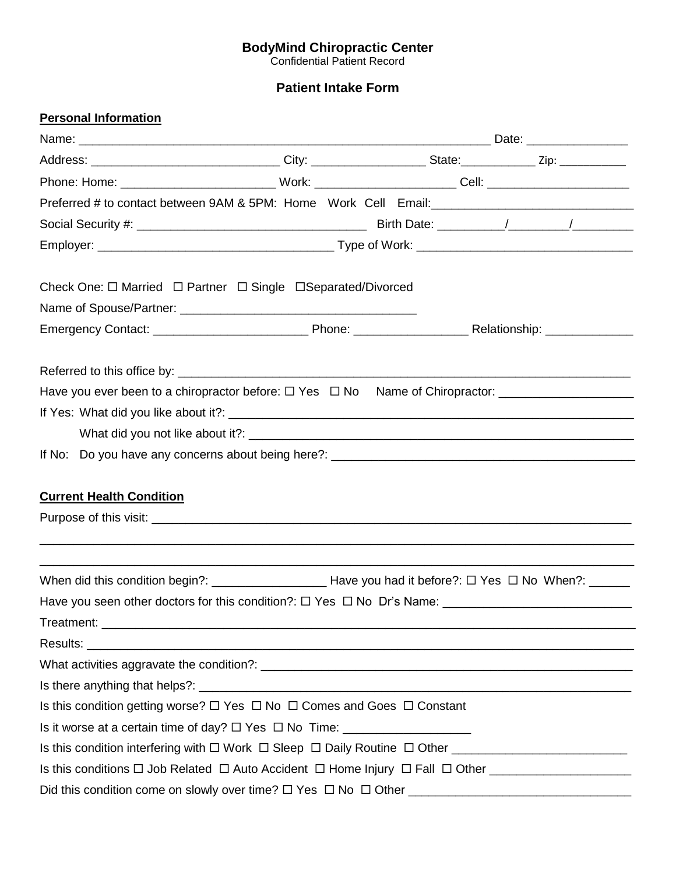#### **BodyMind Chiropractic Center**

Confidential Patient Record

# **Patient Intake Form**

| <b>Personal Information</b>                                                                                    |  |  |
|----------------------------------------------------------------------------------------------------------------|--|--|
|                                                                                                                |  |  |
|                                                                                                                |  |  |
| Phone: Home: _____________________________Work: _________________________Cell: _______________________________ |  |  |
|                                                                                                                |  |  |
|                                                                                                                |  |  |
|                                                                                                                |  |  |
| Check One: □ Married □ Partner □ Single □ Separated/Divorced                                                   |  |  |
|                                                                                                                |  |  |
|                                                                                                                |  |  |
|                                                                                                                |  |  |
| Have you ever been to a chiropractor before: □ Yes □ No Name of Chiropractor: _____________________            |  |  |
|                                                                                                                |  |  |
|                                                                                                                |  |  |
|                                                                                                                |  |  |
|                                                                                                                |  |  |
| <b>Current Health Condition</b>                                                                                |  |  |
|                                                                                                                |  |  |
|                                                                                                                |  |  |
|                                                                                                                |  |  |
| Have you seen other doctors for this condition?: $\Box$ Yes $\Box$ No Dr's Name:                               |  |  |
|                                                                                                                |  |  |
|                                                                                                                |  |  |
|                                                                                                                |  |  |
|                                                                                                                |  |  |
| Is this condition getting worse? $\Box$ Yes $\Box$ No $\Box$ Comes and Goes $\Box$ Constant                    |  |  |
| Is it worse at a certain time of day? $\Box$ Yes $\Box$ No Time:                                               |  |  |
|                                                                                                                |  |  |
|                                                                                                                |  |  |
|                                                                                                                |  |  |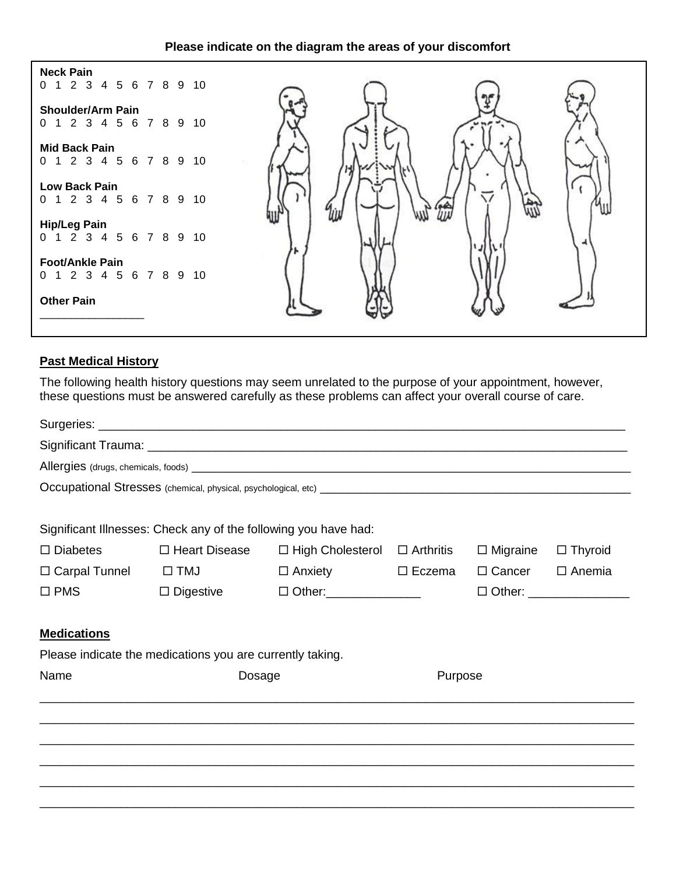| Please indicate on the diagram the areas of your discomfort |  |
|-------------------------------------------------------------|--|
|-------------------------------------------------------------|--|



### **Past Medical History**

The following health history questions may seem unrelated to the purpose of your appointment, however, these questions must be answered carefully as these problems can affect your overall course of care.

|                                 | Significant Illnesses: Check any of the following you have had: |                                          |               |                 |                                  |
|---------------------------------|-----------------------------------------------------------------|------------------------------------------|---------------|-----------------|----------------------------------|
| $\Box$ Diabetes                 | □ Heart Disease                                                 | $\Box$ High Cholesterol $\Box$ Arthritis |               | $\Box$ Migraine | $\Box$ Thyroid                   |
| $\Box$ Carpal Tunnel $\Box$ TMJ |                                                                 | $\Box$ Anxiety                           | $\Box$ Eczema | $\Box$ Cancer   | $\Box$ Anemia                    |
| $\square$ PMS                   | $\Box$ Digestive                                                | $\Box$ Other: _________________          |               |                 | $\Box$ Other: __________________ |
| <b>Medications</b>              | Please indicate the medications you are currently taking.       |                                          |               |                 |                                  |
| Name                            | Dosage                                                          |                                          | Purpose       |                 |                                  |
|                                 |                                                                 |                                          |               |                 |                                  |
|                                 |                                                                 |                                          |               |                 |                                  |
|                                 |                                                                 |                                          |               |                 |                                  |
|                                 |                                                                 |                                          |               |                 |                                  |
|                                 |                                                                 |                                          |               |                 |                                  |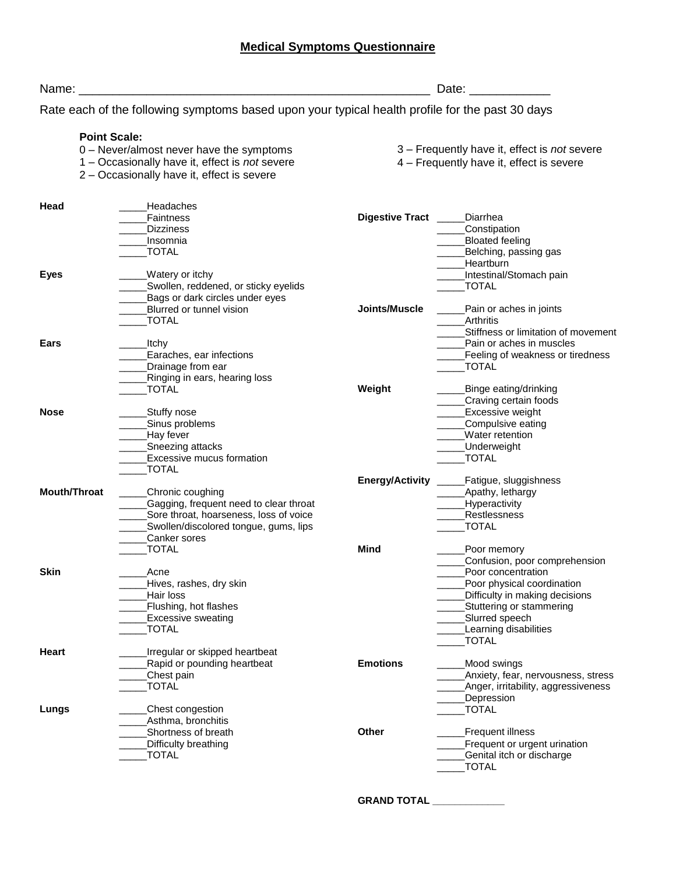## **Medical Symptoms Questionnaire**

| Name:               |                                                                                                 |                        | Date:                                        |
|---------------------|-------------------------------------------------------------------------------------------------|------------------------|----------------------------------------------|
|                     | Rate each of the following symptoms based upon your typical health profile for the past 30 days |                        |                                              |
| <b>Point Scale:</b> |                                                                                                 |                        |                                              |
|                     | 0 - Never/almost never have the symptoms                                                        |                        | 3 – Frequently have it, effect is not severe |
|                     | 1 - Occasionally have it, effect is not severe                                                  |                        | 4 - Frequently have it, effect is severe     |
|                     | 2 - Occasionally have it, effect is severe                                                      |                        |                                              |
| Head                | Headaches                                                                                       |                        |                                              |
|                     | Faintness                                                                                       | Digestive Tract _____  | Diarrhea                                     |
|                     | <b>Dizziness</b>                                                                                |                        | Constipation                                 |
|                     | Insomnia                                                                                        |                        | <b>Bloated feeling</b>                       |
|                     | <b>TOTAL</b>                                                                                    |                        | Belching, passing gas                        |
|                     |                                                                                                 |                        | Heartburn                                    |
| <b>Eyes</b>         | Watery or itchy                                                                                 |                        | Intestinal/Stomach pain                      |
|                     | Swollen, reddened, or sticky eyelids                                                            |                        | <b>TOTAL</b>                                 |
|                     | Bags or dark circles under eyes                                                                 |                        |                                              |
|                     | Blurred or tunnel vision                                                                        | Joints/Muscle          | Pain or aches in joints                      |
|                     | <b>TOTAL</b>                                                                                    |                        | Arthritis                                    |
|                     |                                                                                                 |                        | Stiffness or limitation of movement          |
| Ears                | <b>Itchy</b>                                                                                    |                        | Pain or aches in muscles                     |
|                     | Earaches, ear infections                                                                        |                        | Feeling of weakness or tiredness             |
|                     | Drainage from ear                                                                               |                        | <b>TOTAL</b>                                 |
|                     | Ringing in ears, hearing loss                                                                   |                        |                                              |
|                     | <b>TOTAL</b>                                                                                    | Weight                 | Binge eating/drinking                        |
|                     |                                                                                                 |                        | Craving certain foods                        |
| <b>Nose</b>         | Stuffy nose                                                                                     |                        | <b>Excessive weight</b>                      |
|                     | Sinus problems                                                                                  |                        | Compulsive eating                            |
|                     | Hay fever                                                                                       |                        | Water retention                              |
|                     | Sneezing attacks                                                                                |                        | Underweight                                  |
|                     | <b>Excessive mucus formation</b>                                                                |                        | <b>TOTAL</b>                                 |
|                     | <b>TOTAL</b>                                                                                    |                        |                                              |
|                     |                                                                                                 | <b>Energy/Activity</b> | Fatigue, sluggishness                        |
| <b>Mouth/Throat</b> | Chronic coughing                                                                                |                        | Apathy, lethargy                             |
|                     | Gagging, frequent need to clear throat                                                          |                        | Hyperactivity                                |
|                     | Sore throat, hoarseness, loss of voice                                                          |                        | Restlessness                                 |
|                     | Swollen/discolored tongue, gums, lips                                                           |                        | <b>TOTAL</b>                                 |
|                     | Canker sores                                                                                    |                        |                                              |
|                     | <b>TOTAL</b>                                                                                    | <b>Mind</b>            | Poor memory                                  |
|                     |                                                                                                 |                        | Confusion, poor comprehension                |
| Skin                | Acne                                                                                            |                        | Poor concentration                           |
|                     | Hives, rashes, dry skin                                                                         |                        | Poor physical coordination                   |
|                     | Hair loss                                                                                       |                        | Difficulty in making decisions               |
|                     | Flushing, hot flashes                                                                           |                        | Stuttering or stammering                     |
|                     | <b>Excessive sweating</b>                                                                       |                        | Slurred speech                               |
|                     | <b>TOTAL</b>                                                                                    |                        | Learning disabilities                        |
|                     |                                                                                                 |                        | <b>TOTAL</b>                                 |
| <b>Heart</b>        | Irregular or skipped heartbeat                                                                  |                        |                                              |
|                     | Rapid or pounding heartbeat                                                                     | <b>Emotions</b>        | Mood swings <sub>.</sub>                     |
|                     | Chest pain                                                                                      |                        | Anxiety, fear, nervousness, stress           |
|                     | <b>TOTAL</b>                                                                                    |                        | Anger, irritability, aggressiveness          |
|                     |                                                                                                 |                        | Depression                                   |
| Lungs               | Chest congestion                                                                                |                        | <b>TOTAL</b>                                 |
|                     | Asthma, bronchitis                                                                              |                        |                                              |
|                     | Shortness of breath                                                                             | <b>Other</b>           | Frequent illness                             |
|                     | Difficulty breathing                                                                            |                        | Frequent or urgent urination                 |
|                     | _TOTAL                                                                                          |                        | Genital itch or discharge                    |
|                     |                                                                                                 |                        | <b>TOTAL</b>                                 |
|                     |                                                                                                 |                        |                                              |

**GRAND TOTAL \_\_\_\_\_\_\_\_\_\_\_\_\_**